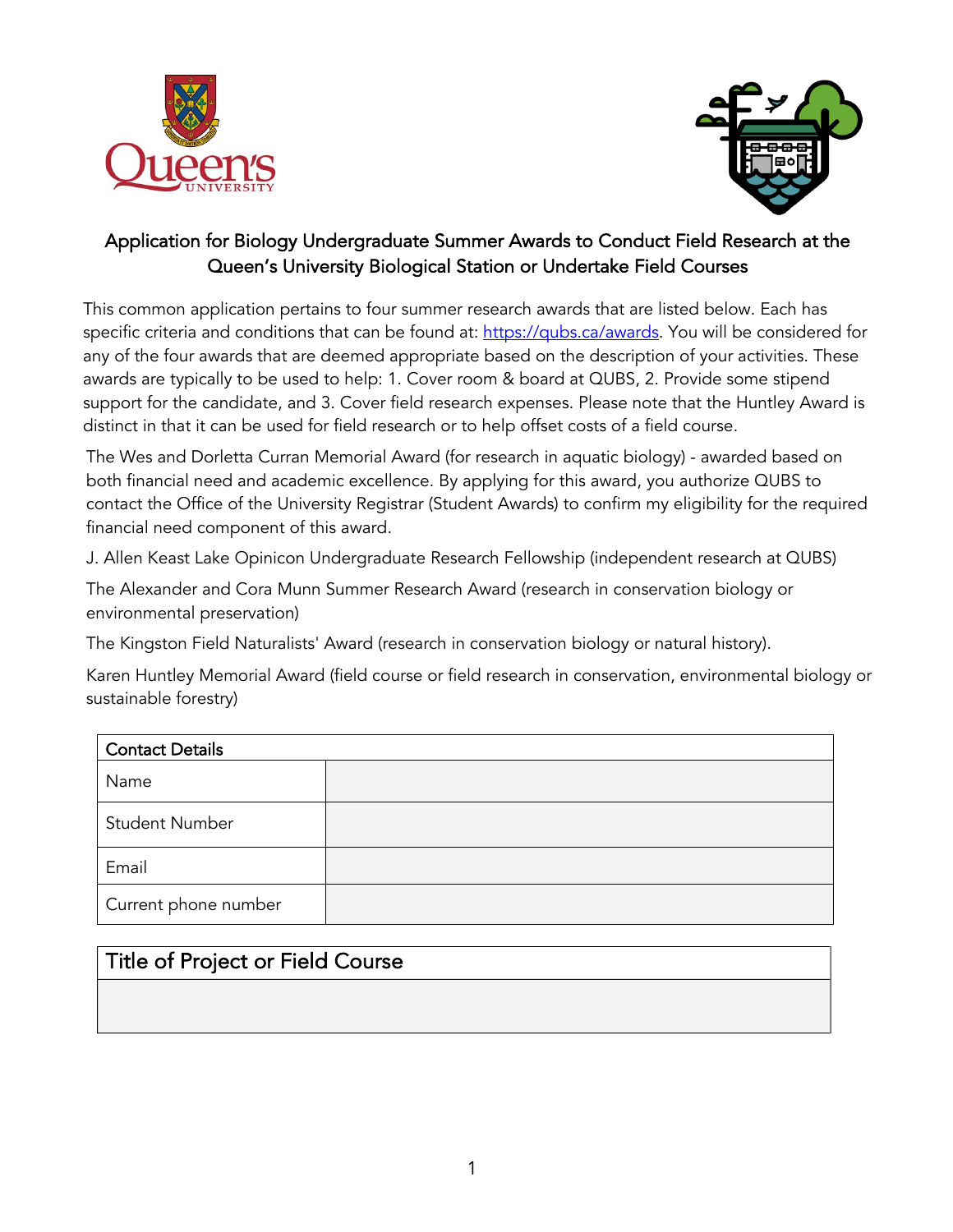



## Application for Biology Undergraduate Summer Awards to Conduct Field Research at the Queen's University Biological Station or Undertake Field Courses

This common application pertains to four summer research awards that are listed below. Each has specific criteria and conditions that can be found at: https://qubs.ca/awards. You will be considered for any of the four awards that are deemed appropriate based on the description of your activities. These awards are typically to be used to help: 1. Cover room & board at QUBS, 2. Provide some stipend support for the candidate, and 3. Cover field research expenses. Please note that the Huntley Award is distinct in that it can be used for field research or to help offset costs of a field course.

The Wes and Dorletta Curran Memorial Award (for research in aquatic biology) - awarded based on both financial need and academic excellence. By applying for this award, you authorize QUBS to contact the Office of the University Registrar (Student Awards) to confirm my eligibility for the required financial need component of this award.

J. Allen Keast Lake Opinicon Undergraduate Research Fellowship (independent research at QUBS)

The Alexander and Cora Munn Summer Research Award (research in conservation biology or environmental preservation)

The Kingston Field Naturalists' Award (research in conservation biology or natural history).

Karen Huntley Memorial Award (field course or field research in conservation, environmental biology or sustainable forestry)

| <b>Contact Details</b> |  |  |  |  |
|------------------------|--|--|--|--|
| Name                   |  |  |  |  |
| <b>Student Number</b>  |  |  |  |  |
| Email                  |  |  |  |  |
| Current phone number   |  |  |  |  |

## Title of Project or Field Course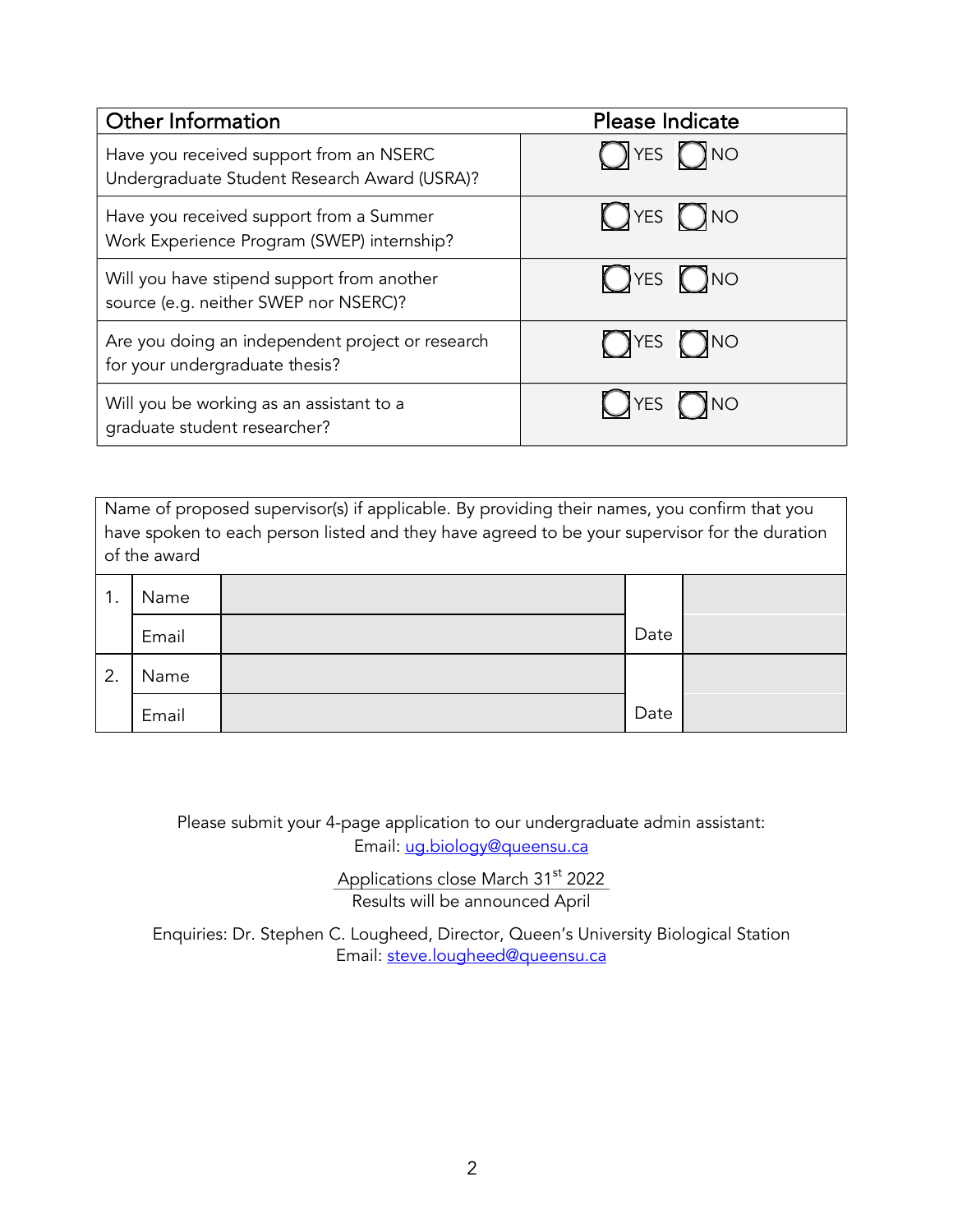| Other Information                                                                       | Please Indicate            |  |
|-----------------------------------------------------------------------------------------|----------------------------|--|
| Have you received support from an NSERC<br>Undergraduate Student Research Award (USRA)? | $\n  YES\n  ONO\n$         |  |
| Have you received support from a Summer<br>Work Experience Program (SWEP) internship?   | $OYES$ $ONO$               |  |
| Will you have stipend support from another<br>source (e.g. neither SWEP nor NSERC)?     | $OYES$ $ONO$               |  |
| Are you doing an independent project or research<br>for your undergraduate thesis?      | $\bigcap$ YES $\bigcap$ NO |  |
| Will you be working as an assistant to a<br>graduate student researcher?                | N∪≬<br>YES (               |  |

Name of proposed supervisor(s) if applicable. By providing their names, you confirm that you have spoken to each person listed and they have agreed to be your supervisor for the duration of the award

| -1<br>. . | Name  |      |  |
|-----------|-------|------|--|
|           | Email | Date |  |
| 2.        | Name  |      |  |
|           | Email | Date |  |

Please submit your 4-page application to our undergraduate admin assistant: Email: ug.biology@queensu.ca

> Applications close March 31<sup>st</sup> 2022 Results will be announced April

Enquiries: Dr. Stephen C. Lougheed, Director, Queen's University Biological Station Email: steve.lougheed@queensu.ca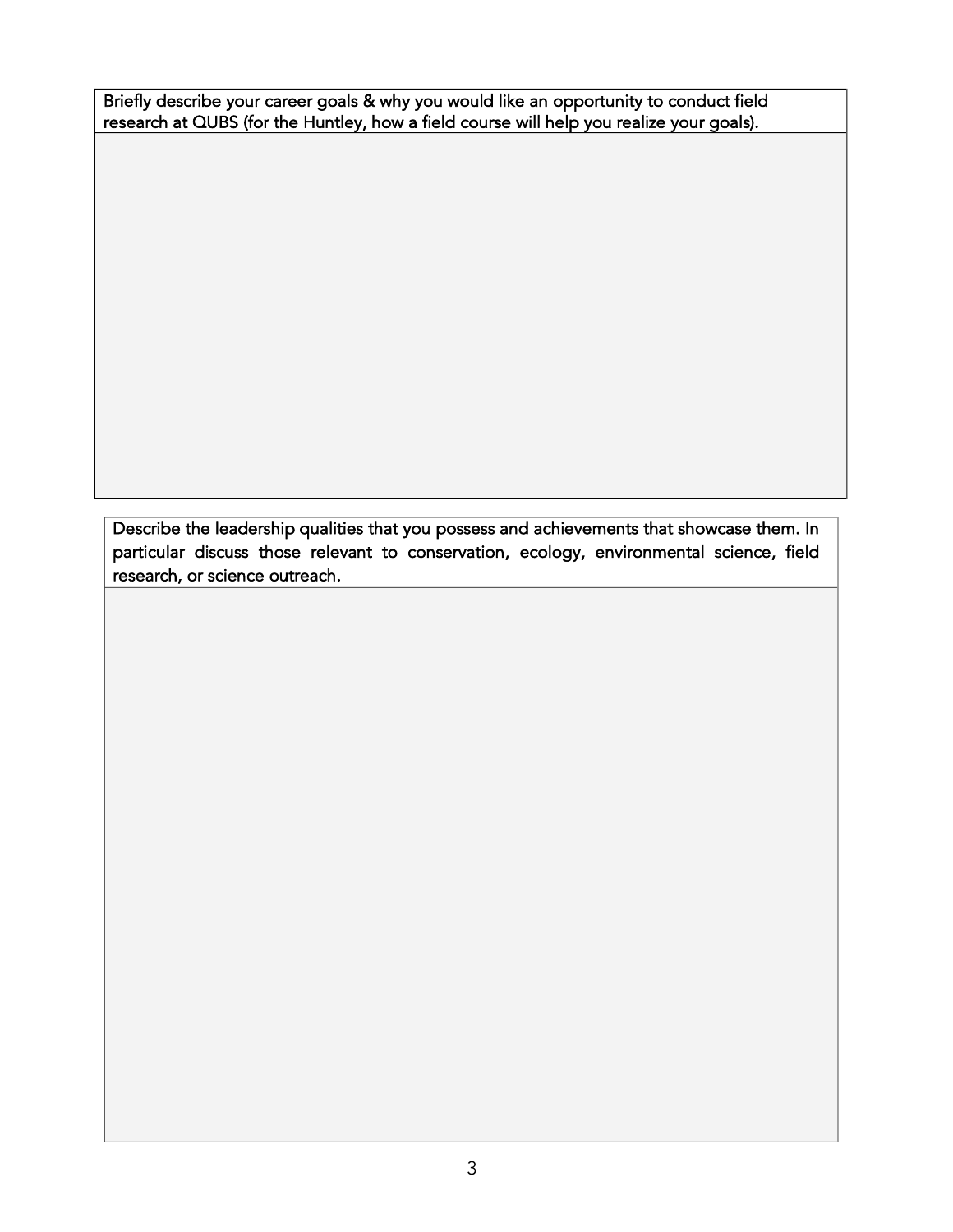Briefly describe your career goals & why you would like an opportunity to conduct field research at QUBS (for the Huntley, how a field course will help you realize your goals).

Describe the leadership qualities that you possess and achievements that showcase them. In particular discuss those relevant to conservation, ecology, environmental science, field research, or science outreach.